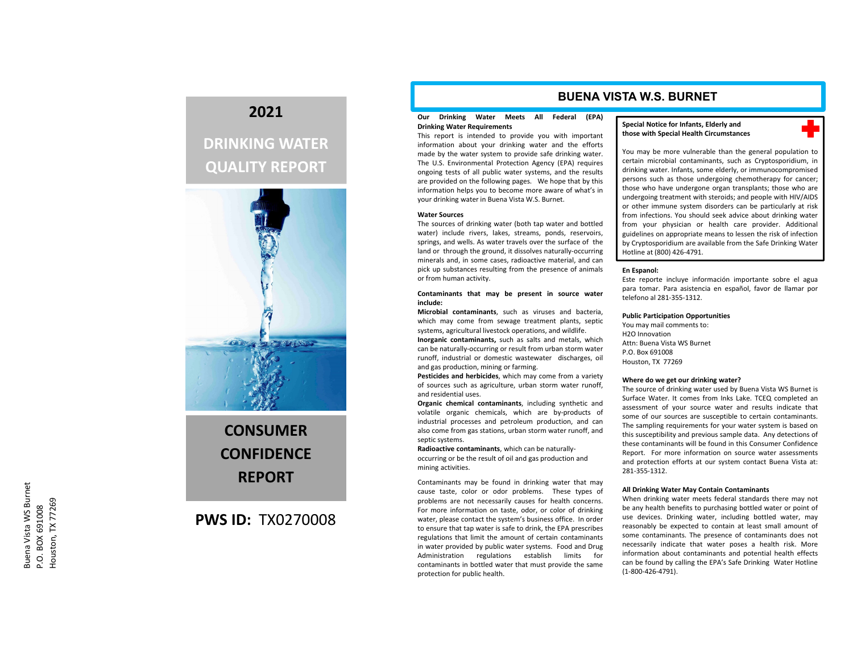# **2021**

# **DRINKING WATER QUALITY REPORT**



**CONSUMERCONFIDENCEREPORT**

# **PWS ID:** TX0270008

# **BUENA VISTA W.S. BURNET**

# **Our Drinking Water Meets All Federal (EPA) Drinking Water Requirements**

This report is intended to provide you with important information about your drinking water and the efforts made by the water system to provide safe drinking water. The U.S. Environmental Protection Agency (EPA) requires ongoing tests of all public water systems, and the results are provided on the following pages. We hope that by this information helps you to become more aware of what's in your drinking water in Buena Vista W.S. Burnet.

### **Water Sources**

The sources of drinking water (both tap water and bottled water) include rivers, lakes, streams, ponds, reservoirs, springs, and wells. As water travels over the surface of the land or through the ground, it dissolves naturally‐occurring minerals and, in some cases, radioactive material, and can pick up substances resulting from the presence of animals or from human activity.

## **Contaminants that may be present in source water include:**

**Microbial contaminants**, such as viruses and bacteria, which may come from sewage treatment plants, septic systems, agricultural livestock operations, and wildlife. **Inorganic contaminants,** such as salts and metals, which can be naturally‐occurring or result from urban storm water runoff, industrial or domestic wastewater discharges, oil and gas production, mining or farming.

**Pesticides and herbicides**, which may come from <sup>a</sup> variety of sources such as agriculture, urban storm water runoff, and residential uses.

**Organic chemical contaminants**, including synthetic and volatile organic chemicals, which are by‐products of industrial processes and petroleum production, and can also come from gas stations, urban storm water runoff, and septic systems.

**Radioactive contaminants**, which can be naturally‐ occurring or be the result of oil and gas production and mining activities.

Contaminants may be found in drinking water that may cause taste, color or odor problems. These types of problems are not necessarily causes for health concerns. For more information on taste, odor, or color of drinking water, please contact the system's business office. In order to ensure that tap water is safe to drink, the EPA prescribes regulations that limit the amount of certain contaminants in water provided by public water systems. Food and Drug Administration regulations establish limits for contaminants in bottled water that must provide the same protection for public health.

### **Special Notice for Infants, Elderly and those with Special Health Circumstances**



You may be more vulnerable than the general population to certain microbial contaminants, such as Cryptosporidium, in drinking water. Infants, some elderly, or immunocompromised persons such as those undergoing chemotherapy for cancer; those who have undergone organ transplants; those who are undergoing treatment with steroids; and people with HIV/AIDS or other immune system disorders can be particularly at risk from infections. You should seek advice about drinking water from your physician or health care provider. Additional guidelines on appropriate means to lessen the risk of infection by Cryptosporidium are available from the Safe Drinking Water Hotline at (800) 426‐4791.

#### **En Espanol:**

Este reporte incluye información importante sobre el agua para tomar. Para asistencia en español, favor de llamar por telefono al 281‐355‐1312.

## **Public Participation Opportunities**

You may mail comments to: H2O InnovationAttn: Buena Vista WS BurnetP.O. Box 691008Houston, TX 77269

#### **Where do we get our drinking water?**

The source of drinking water used by Buena Vista WS Burnet is Surface Water. It comes from Inks Lake. TCEQ completed an assessment of your source water and results indicate that some of our sources are susceptible to certain contaminants. The sampling requirements for your water system is based on this susceptibility and previous sample data. Any detections of these contaminants will be found in this Consumer ConfidenceReport. For more information on source water assessments and protection efforts at our system contact Buena Vista at: 281‐355‐1312.

### **All Drinking Water May Contain Contaminants**

When drinking water meets federal standards there may not be any health benefits to purchasing bottled water or point of use devices. Drinking water, including bottled water, may reasonably be expected to contain at least small amount of some contaminants. The presence of contaminants does not necessarily indicate that water poses <sup>a</sup> health risk. More information about contaminants and potential health effects can be found by calling the EPA's Safe Drinking Water Hotline (1‐800‐426‐4791).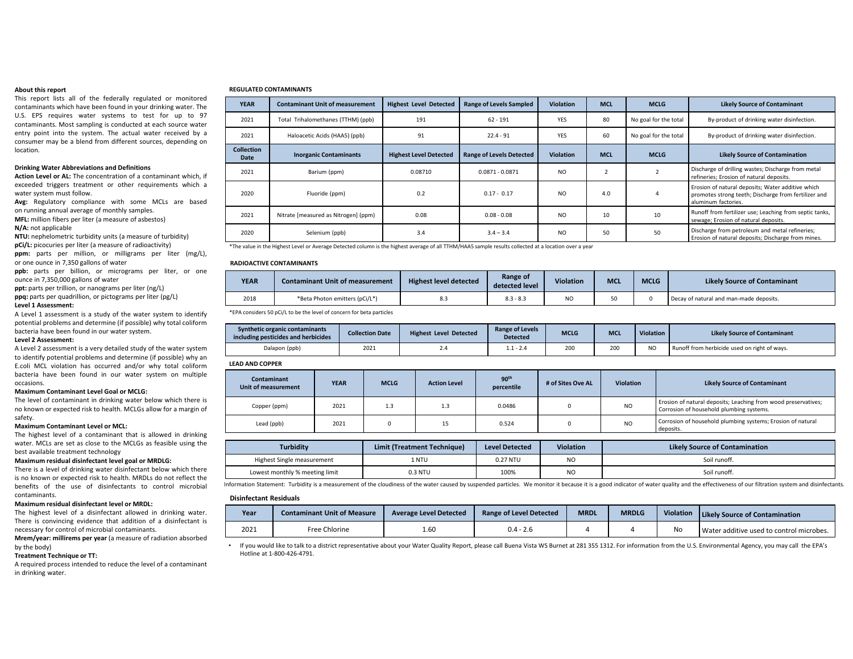#### **About this report**

This report lists all of the federally regulated or monitored contaminants which have been found in your drinking water. The U.S. EPS requires water systems to test for up to 97 contaminants. Most sampling is conducted at each source water entry point into the system. The actual water received by <sup>a</sup> consumer may be <sup>a</sup> blend from different sources, depending on location.

#### **Drinking Water Abbreviations and Definitions**

**Action Level or AL:** The concentration of <sup>a</sup> contaminant which, if exceeded triggers treatment or other requirements which <sup>a</sup> water system must follow.

**Avg:** Regulatory compliance with some MCLs are based on running annual average of monthly samples.

**MFL:** million fibers per liter (a measure of asbestos) **N/A:** not applicable

**NTU:** nephelometric turbidity units (a measure of turbidity)

**pCi/L:** picocuries per liter (a measure of radioactivity)

**ppm:** parts per million, or milligrams per liter (mg/L), or one ounce in 7,350 gallons of water

**ppb:** parts per billion, or micrograms per liter, or one ounce in 7,350,000 gallons of water

**ppt:** parts per trillion, or nanograms per liter (ng/L)

**ppq:** parts per quadrillion, or pictograms per liter (pg/L)

#### **Level 1 Assessment:**

 A Level 1 assessment is <sup>a</sup> study of the water system to identify potential problems and determine (if possible) why total coliform bacteria have been found in our water system.

#### **Level 2 Assessment:**

A Level 2 assessment is <sup>a</sup> very detailed study of the water system to identify potential problems and determine (if possible) why an E.coli MCL violation has occurred and/or why total coliform bacteria have been found in our water system on multiple occasions.

# **Maximum Contaminant Level Goal or MCLG:**

The level of contaminant in drinking water below which there is no known or expected risk to health. MCLGs allow for <sup>a</sup> margin of safety.

#### **Maximum Contaminant Level or MCL:**

The highest level of <sup>a</sup> contaminant that is allowed in drinking water. MCLs are set as close to the MCLGs as feasible using the best available treatment technology

#### **Maximum residual disinfectant level goal or MRDLG:**

There is <sup>a</sup> level of drinking water disinfectant below which there is no known or expected risk to health. MRDLs do not reflect the benefits of the use of disinfectants to control microbial contaminants.

#### **Maximum residual disinfectant level or MRDL:**

The highest level of <sup>a</sup> disinfectant allowed in drinking water. There is convincing evidence that addition of <sup>a</sup> disinfectant is necessary for control of microbial contaminants.

**Mrem/year: millirems per year** (a measure of radiation absorbed by the body)

#### **Treatment Technique or TT:**

A required process intended to reduce the level of <sup>a</sup> contaminant in drinking water.

#### **REGULATED CONTAMINANTS**

| <b>YEAR</b>               | <b>Contaminant Unit of measurement</b> | <b>Highest Level Detected</b> | <b>Range of Levels Sampled</b>  | <b>Violation</b> | <b>MCL</b> | <b>MCLG</b>           | <b>Likely Source of Contaminant</b>                                                                                              |
|---------------------------|----------------------------------------|-------------------------------|---------------------------------|------------------|------------|-----------------------|----------------------------------------------------------------------------------------------------------------------------------|
| 2021                      | Total Trihalomethanes (TTHM) (ppb)     | 191                           | $62 - 191$                      | YES              | 80         | No goal for the total | By-product of drinking water disinfection.                                                                                       |
| 2021                      | Haloacetic Acids (HAA5) (ppb)          | 91                            | $22.4 - 91$                     | YES              | 60         | No goal for the total | By-product of drinking water disinfection.                                                                                       |
| <b>Collection</b><br>Date | <b>Inorganic Contaminants</b>          | <b>Highest Level Detected</b> | <b>Range of Levels Detected</b> | <b>Violation</b> | <b>MCL</b> | <b>MCLG</b>           | <b>Likely Source of Contamination</b>                                                                                            |
| 2021                      | Barium (ppm)                           | 0.08710                       | $0.0871 - 0.0871$               | <b>NO</b>        |            |                       | Discharge of drilling wastes; Discharge from metal<br>refineries; Erosion of natural deposits.                                   |
| 2020                      | Fluoride (ppm)                         | 0.2                           | $0.17 - 0.17$                   | <b>NO</b>        | 4.0        |                       | Erosion of natural deposits; Water additive which<br>promotes strong teeth; Discharge from fertilizer and<br>aluminum factories. |
| 2021                      | Nitrate [measured as Nitrogen] (ppm)   | 0.08                          | $0.08 - 0.08$                   | <b>NO</b>        | 10         | 10                    | Runoff from fertilizer use; Leaching from septic tanks,<br>sewage; Erosion of natural deposits.                                  |
| 2020                      | Selenium (ppb)                         | 3.4                           | $3.4 - 3.4$                     | <b>NO</b>        | 50         | 50                    | Discharge from petroleum and metal refineries;<br>Erosion of natural deposits; Discharge from mines.                             |

\*The value in the Highest Level or Average Detected column is the highest average of all TTHM/HAA5 sample results collected at <sup>a</sup> location over <sup>a</sup> year

#### **RADIOACTIVE CONTAMINANTS**

| <b>YEAR</b> | <b>Contaminant Unit of measurement</b> | <b>Highest level detected</b> | Range of<br>detected level | <b>Violation</b> | <b>MCL</b> | MCLG | <b>Likely Source of Contaminant</b>     |
|-------------|----------------------------------------|-------------------------------|----------------------------|------------------|------------|------|-----------------------------------------|
| 2018        | *Beta Photon emitters (pCi/L*)         | 8.3                           | $8.3 - 8.3$                | <b>NO</b>        |            |      | Decay of natural and man-made deposits. |

\*EPA considers 50 pCi/L to be the level of concern for beta particles

| <b>Synthetic organic contaminants</b><br>including pesticides and herbicides | <b>Collection Date</b> | <b>Highest Level Detected</b> | <b>Range of Levels</b><br><b>Detected</b> | <b>MCLG</b> | <b>MCL</b> | <b>Violation</b> | <b>Likely Source of Contaminant</b>          |
|------------------------------------------------------------------------------|------------------------|-------------------------------|-------------------------------------------|-------------|------------|------------------|----------------------------------------------|
| Dalapon (ppb)                                                                | 2021                   | 2.4                           | $1.1 - 2.4$                               | 200         | 200        | N <sub>O</sub>   | Runoff from herbicide used on right of ways. |

#### **LEAD AND COPPER**

| Contaminant<br>Unit of measurement | <b>YEAR</b> | <b>MCLG</b> | <b>Action Level</b> | 90 <sup>th</sup><br>percentile | # of Sites Ove AL | <b>Violation</b> | <b>Likely Source of Contaminant</b>                                                                        |
|------------------------------------|-------------|-------------|---------------------|--------------------------------|-------------------|------------------|------------------------------------------------------------------------------------------------------------|
| Copper (ppm)                       | 2021        | 1.3         | 1.3                 | 0.0486                         |                   | <b>NO</b>        | Erosion of natural deposits; Leaching from wood preservatives;<br>Corrosion of household plumbing systems. |
| Lead (ppb)                         | 2021        |             | 15                  | 0.524                          |                   | N <sub>O</sub>   | Corrosion of household plumbing systems; Erosion of natural<br>deposits.                                   |

| Turbiditv                                   | Limit (Treatment Technique) | <b>Level Detected</b> | <b>Violation</b> | <b>Likely Source of Contamination</b> |
|---------------------------------------------|-----------------------------|-----------------------|------------------|---------------------------------------|
| Highest Single measurement                  | . NTU                       | 0.27 NTU              | NO               | Soil runoff.                          |
| $0.3$ NTU<br>Lowest monthly % meeting limit |                             | 100%                  | NO               | Soil runoff.                          |

Information Statement: Turbidity is a measurement of the cloudiness of the water caused by suspended particles. We monitor it because it is a good indicator of water quality and the effectiveness of our filtration system a

#### **Disinfectant Residuals**

| Year | <b>Contaminant Unit of Measure</b> | <b>Average Level Detected</b> | Range of Level Detected | MRDI | <b>MRDLG</b> | <b>Violation</b> | <b>Likely Source of Contamination</b>      |
|------|------------------------------------|-------------------------------|-------------------------|------|--------------|------------------|--------------------------------------------|
| 2021 | Free Chlorine                      | 1.60                          | $0.4 - 2.6$             |      |              | No               | I Water additive used to control microbes. |

 If you would like to talk to <sup>a</sup> district representative about your Water Quality Report, please call Buena Vista WS Burnet at 281 355 1312. For information from the U.S. Environmental Agency, you may call the EPA's Hotline at 1‐800‐426‐4791.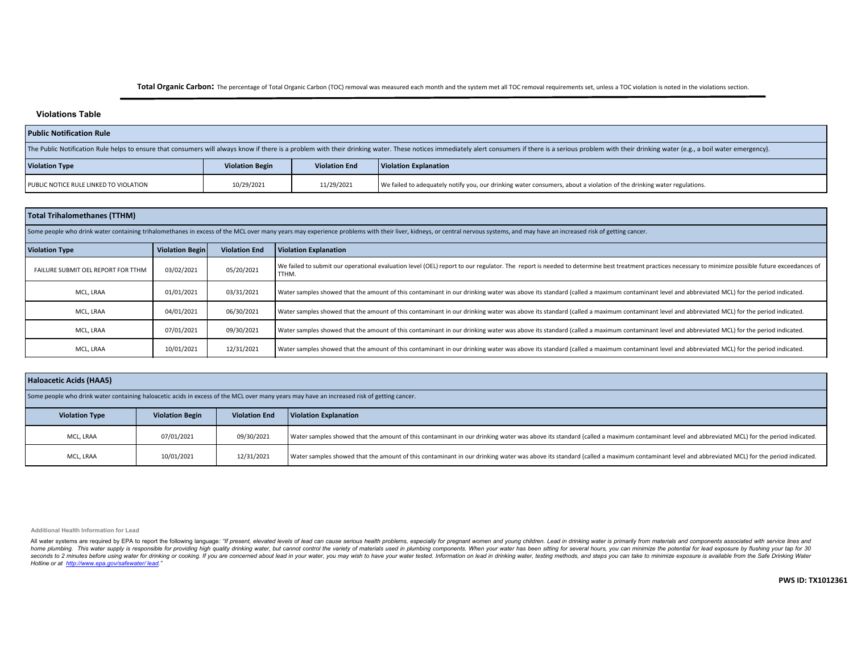Total Organic Carbon: The percentage of Total Organic Carbon (TOC) removal was measured each month and the system met all TOC removal requirements set, unless a TOC violation is noted in the violations section.

# **Violations Table**

| <b>Public Notification Rule</b>                                                                         |                                                                                                                                                                                                                                |            |                                                                                                                        |  |  |  |  |
|---------------------------------------------------------------------------------------------------------|--------------------------------------------------------------------------------------------------------------------------------------------------------------------------------------------------------------------------------|------------|------------------------------------------------------------------------------------------------------------------------|--|--|--|--|
|                                                                                                         | The Public Notification Rule helps to ensure that consumers will always know if there is a problem with their drinking water. These notices immediately alert consumers if there is a serious problem with their drinking wate |            |                                                                                                                        |  |  |  |  |
| <b>Violation End</b><br><b>Violation Explanation</b><br><b>Violation Type</b><br><b>Violation Begin</b> |                                                                                                                                                                                                                                |            |                                                                                                                        |  |  |  |  |
| PUBLIC NOTICE RULE LINKED TO VIOLATION                                                                  | 10/29/2021                                                                                                                                                                                                                     | 11/29/2021 | We failed to adequately notify you, our drinking water consumers, about a violation of the drinking water regulations. |  |  |  |  |

| Total Trihalomethanes (TTHM)       |                                                                                                                                                                                                                              |                      |                                                                                                                                                                                                              |  |  |  |  |  |
|------------------------------------|------------------------------------------------------------------------------------------------------------------------------------------------------------------------------------------------------------------------------|----------------------|--------------------------------------------------------------------------------------------------------------------------------------------------------------------------------------------------------------|--|--|--|--|--|
|                                    | Some people who drink water containing trihalomethanes in excess of the MCL over many years may experience problems with their liver, kidneys, or central nervous systems, and may have an increased risk of getting cancer. |                      |                                                                                                                                                                                                              |  |  |  |  |  |
| <b>Violation Type</b>              | <b>Violation Begin</b>                                                                                                                                                                                                       | <b>Violation End</b> | <b>Violation Explanation</b>                                                                                                                                                                                 |  |  |  |  |  |
| FAILURE SUBMIT OEL REPORT FOR TTHM | 03/02/2021                                                                                                                                                                                                                   | 05/20/2021           | We failed to submit our operational evaluation level (OEL) report to our regulator. The report is needed to determine best treatment practices necessary to minimize possible future exceedances of<br>TTHM. |  |  |  |  |  |
| MCL, LRAA                          | 01/01/2021                                                                                                                                                                                                                   | 03/31/2021           | Water samples showed that the amount of this contaminant in our drinking water was above its standard (called a maximum contaminant level and abbreviated MCL) for the period indicated.                     |  |  |  |  |  |
| MCL. LRAA                          | 04/01/2021                                                                                                                                                                                                                   | 06/30/2021           | Water samples showed that the amount of this contaminant in our drinking water was above its standard (called a maximum contaminant level and abbreviated MCL) for the period indicated.                     |  |  |  |  |  |
| MCL, LRAA                          | 07/01/2021                                                                                                                                                                                                                   | 09/30/2021           | Water samples showed that the amount of this contaminant in our drinking water was above its standard (called a maximum contaminant level and abbreviated MCL) for the period indicated.                     |  |  |  |  |  |
| MCL, LRAA                          | 10/01/2021                                                                                                                                                                                                                   | 12/31/2021           | Water samples showed that the amount of this contaminant in our drinking water was above its standard (called a maximum contaminant level and abbreviated MCL) for the period indicated.                     |  |  |  |  |  |

| Haloacetic Acids (HAA5)                                                                                                                    |                        |                      |                                                                                                                                                                                          |  |  |  |  |
|--------------------------------------------------------------------------------------------------------------------------------------------|------------------------|----------------------|------------------------------------------------------------------------------------------------------------------------------------------------------------------------------------------|--|--|--|--|
| Some people who drink water containing haloacetic acids in excess of the MCL over many years may have an increased risk of getting cancer. |                        |                      |                                                                                                                                                                                          |  |  |  |  |
| <b>Violation Type</b>                                                                                                                      | <b>Violation Begin</b> | <b>Violation End</b> | <b>Violation Explanation</b>                                                                                                                                                             |  |  |  |  |
| MCL, LRAA                                                                                                                                  | 07/01/2021             | 09/30/2021           | Water samples showed that the amount of this contaminant in our drinking water was above its standard (called a maximum contaminant level and abbreviated MCL) for the period indicated. |  |  |  |  |
| MCL, LRAA                                                                                                                                  | 10/01/2021             | 12/31/2021           | Water samples showed that the amount of this contaminant in our drinking water was above its standard (called a maximum contaminant level and abbreviated MCL) for the period indicated. |  |  |  |  |

**Additional Health Information for Lead**

All water systems are required by EPA to report the following language: "If present, elevated levels of lead can cause serious health problems, especially for pregnant women and young children. Lead in drinking water is pr home plumbing. This water supply is responsible for providing high quality drinking water, but cannot control the variety of materials used in plumbing components. When your water has been sitting for several hours, you ca seconds to 2 minutes before using water for drinking or cooking. If you are concerned about lead in your water, you may wish to have your water tested. Information on lead in drinking water, testing methods, and steps you *Hotline or at http://www.epa.gov/safewater/ lead."*